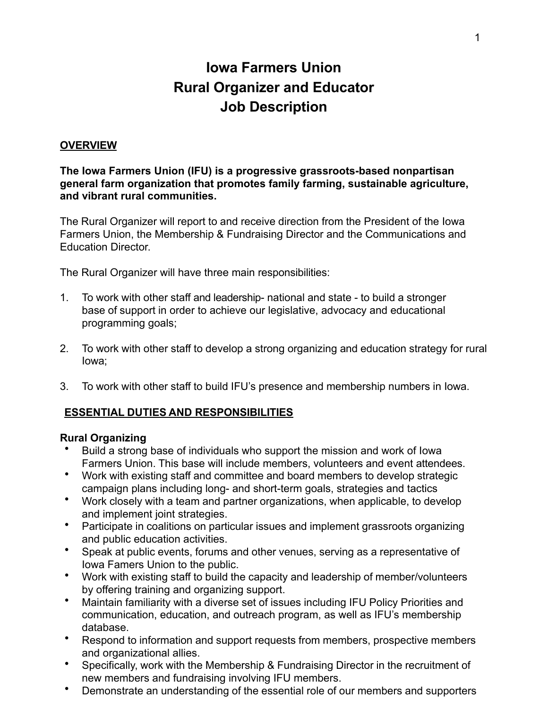# **Iowa Farmers Union Rural Organizer and Educator Job Description**

#### **OVERVIEW**

**The Iowa Farmers Union (IFU) is a progressive grassroots-based nonpartisan general farm organization that promotes family farming, sustainable agriculture, and vibrant rural communities.**

The Rural Organizer will report to and receive direction from the President of the Iowa Farmers Union, the Membership & Fundraising Director and the Communications and Education Director.

The Rural Organizer will have three main responsibilities:

- 1. To work with other staff and leadership- national and state to build a stronger base of support in order to achieve our legislative, advocacy and educational programming goals;
- 2. To work with other staff to develop a strong organizing and education strategy for rural Iowa;
- 3. To work with other staff to build IFU's presence and membership numbers in Iowa.

#### **ESSENTIAL DUTIES AND RESPONSIBILITIES**

#### **Rural Organizing**

- Build a strong base of individuals who support the mission and work of Iowa Farmers Union. This base will include members, volunteers and event attendees.
- Work with existing staff and committee and board members to develop strategic campaign plans including long- and short-term goals, strategies and tactics
- Work closely with a team and partner organizations, when applicable, to develop and implement joint strategies.
- Participate in coalitions on particular issues and implement grassroots organizing and public education activities.
- Speak at public events, forums and other venues, serving as a representative of Iowa Famers Union to the public.
- Work with existing staff to build the capacity and leadership of member/volunteers by offering training and organizing support.
- Maintain familiarity with a diverse set of issues including IFU Policy Priorities and communication, education, and outreach program, as well as IFU's membership database.
- Respond to information and support requests from members, prospective members and organizational allies.
- Specifically, work with the Membership & Fundraising Director in the recruitment of new members and fundraising involving IFU members.
- Demonstrate an understanding of the essential role of our members and supporters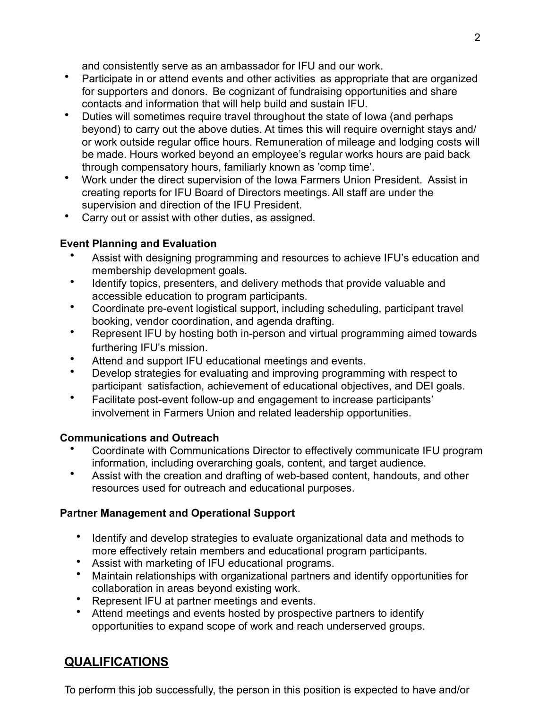and consistently serve as an ambassador for IFU and our work.

- Participate in or attend events and other activities as appropriate that are organized for supporters and donors. Be cognizant of fundraising opportunities and share contacts and information that will help build and sustain IFU.
- Duties will sometimes require travel throughout the state of Iowa (and perhaps beyond) to carry out the above duties. At times this will require overnight stays and/ or work outside regular office hours. Remuneration of mileage and lodging costs will be made. Hours worked beyond an employee's regular works hours are paid back through compensatory hours, familiarly known as 'comp time'.
- Work under the direct supervision of the Iowa Farmers Union President. Assist in creating reports for IFU Board of Directors meetings.All staff are under the supervision and direction of the IFU President.
- Carry out or assist with other duties, as assigned.

### **Event Planning and Evaluation**

- Assist with designing programming and resources to achieve IFU's education and membership development goals.
- Identify topics, presenters, and delivery methods that provide valuable and accessible education to program participants.
- Coordinate pre-event logistical support, including scheduling, participant travel booking, vendor coordination, and agenda drafting.
- Represent IFU by hosting both in-person and virtual programming aimed towards furthering IFU's mission.
- Attend and support IFU educational meetings and events.
- Develop strategies for evaluating and improving programming with respect to participant satisfaction, achievement of educational objectives, and DEI goals.
- Facilitate post-event follow-up and engagement to increase participants' involvement in Farmers Union and related leadership opportunities.

### **Communications and Outreach**

- Coordinate with Communications Director to effectively communicate IFU program information, including overarching goals, content, and target audience.
- Assist with the creation and drafting of web-based content, handouts, and other resources used for outreach and educational purposes.

## **Partner Management and Operational Support**

- Identify and develop strategies to evaluate organizational data and methods to more effectively retain members and educational program participants.
- Assist with marketing of IFU educational programs.
- Maintain relationships with organizational partners and identify opportunities for collaboration in areas beyond existing work.
- Represent IFU at partner meetings and events.
- Attend meetings and events hosted by prospective partners to identify opportunities to expand scope of work and reach underserved groups.

# **QUALIFICATIONS**

To perform this job successfully, the person in this position is expected to have and/or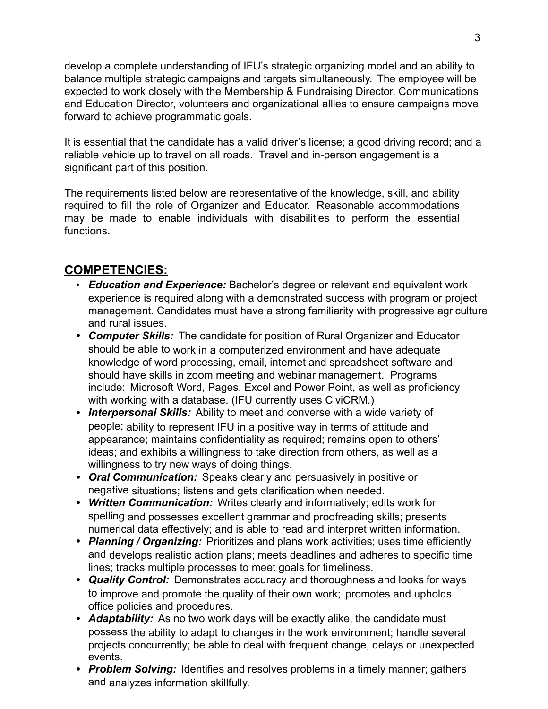develop a complete understanding of IFU's strategic organizing model and an ability to balance multiple strategic campaigns and targets simultaneously. The employee will be expected to work closely with the Membership & Fundraising Director, Communications and Education Director, volunteers and organizational allies to ensure campaigns move forward to achieve programmatic goals.

It is essential that the candidate has a valid driver's license; a good driving record; and a reliable vehicle up to travel on all roads. Travel and in-person engagement is a significant part of this position.

The requirements listed below are representative of the knowledge, skill, and ability required to fill the role of Organizer and Educator. Reasonable accommodations may be made to enable individuals with disabilities to perform the essential functions.

## **COMPETENCIES:**

- *Education and Experience:* Bachelor's degree or relevant and equivalent work experience is required along with a demonstrated success with program or project management. Candidates must have a strong familiarity with progressive agriculture and rural issues.
- *Computer Skills:* The candidate for position of Rural Organizer and Educator should be able to work in a computerized environment and have adequate knowledge of word processing, email, internet and spreadsheet software and should have skills in zoom meeting and webinar management. Programs include: Microsoft Word, Pages, Excel and Power Point, as well as proficiency with working with a database. (IFU currently uses CiviCRM.)
- *Interpersonal Skills:* Ability to meet and converse with a wide variety of people; ability to represent IFU in a positive way in terms of attitude and appearance; maintains confidentiality as required; remains open to others' ideas; and exhibits a willingness to take direction from others, as well as a willingness to try new ways of doing things.
- *Oral Communication:* Speaks clearly and persuasively in positive or negative situations; listens and gets clarification when needed.
- *Written Communication:* Writes clearly and informatively; edits work for spelling and possesses excellent grammar and proofreading skills; presents numerical data effectively; and is able to read and interpret written information.
- *Planning / Organizing:* Prioritizes and plans work activities; uses time efficiently and develops realistic action plans; meets deadlines and adheres to specific time lines; tracks multiple processes to meet goals for timeliness.
- *Quality Control:* Demonstrates accuracy and thoroughness and looks for ways to improve and promote the quality of their own work; promotes and upholds office policies and procedures.
- *Adaptability:* As no two work days will be exactly alike, the candidate must possess the ability to adapt to changes in the work environment; handle several projects concurrently; be able to deal with frequent change, delays or unexpected events.
- *Problem Solving:* Identifies and resolves problems in a timely manner; gathers and analyzes information skillfully.